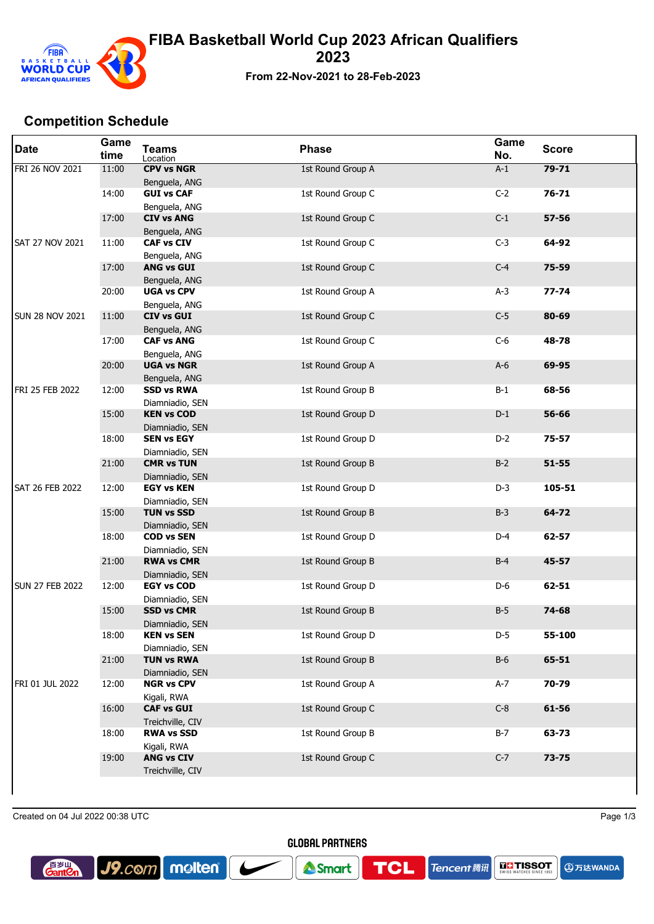

## **Competition Schedule**

| <b>Date</b>            | Game<br>time | <b>Teams</b><br>Location              | <b>Phase</b>      | Game<br>No. | <b>Score</b> |
|------------------------|--------------|---------------------------------------|-------------------|-------------|--------------|
| FRI 26 NOV 2021        | 11:00        | <b>CPV vs NGR</b><br>Benguela, ANG    | 1st Round Group A | $A-1$       | $79 - 71$    |
|                        | 14:00        | <b>GUI vs CAF</b><br>Benguela, ANG    | 1st Round Group C | $C-2$       | $76 - 71$    |
|                        | 17:00        | <b>CIV vs ANG</b><br>Benguela, ANG    | 1st Round Group C | $C-1$       | $57 - 56$    |
| <b>SAT 27 NOV 2021</b> | 11:00        | <b>CAF vs CIV</b><br>Benguela, ANG    | 1st Round Group C | $C-3$       | 64-92        |
|                        | 17:00        | <b>ANG vs GUI</b><br>Benguela, ANG    | 1st Round Group C | $C-4$       | 75-59        |
|                        | 20:00        | <b>UGA vs CPV</b><br>Benguela, ANG    | 1st Round Group A | $A-3$       | $77 - 74$    |
| <b>SUN 28 NOV 2021</b> | 11:00        | <b>CIV vs GUI</b><br>Benguela, ANG    | 1st Round Group C | $C-5$       | 80-69        |
|                        | 17:00        | <b>CAF vs ANG</b><br>Benguela, ANG    | 1st Round Group C | $C-6$       | 48-78        |
|                        | 20:00        | <b>UGA vs NGR</b><br>Benguela, ANG    | 1st Round Group A | $A-6$       | 69-95        |
| FRI 25 FEB 2022        | 12:00        | <b>SSD vs RWA</b><br>Diamniadio, SEN  | 1st Round Group B | $B-1$       | 68-56        |
|                        | 15:00        | <b>KEN vs COD</b><br>Diamniadio, SEN  | 1st Round Group D | $D-1$       | 56-66        |
|                        | 18:00        | <b>SEN vs EGY</b><br>Diamniadio, SEN  | 1st Round Group D | $D-2$       | $75 - 57$    |
|                        | 21:00        | <b>CMR vs TUN</b><br>Diamniadio, SEN  | 1st Round Group B | $B-2$       | $51 - 55$    |
| <b>SAT 26 FEB 2022</b> | 12:00        | <b>EGY vs KEN</b><br>Diamniadio, SEN  | 1st Round Group D | $D-3$       | 105-51       |
|                        | 15:00        | <b>TUN vs SSD</b><br>Diamniadio, SEN  | 1st Round Group B | $B-3$       | 64-72        |
|                        | 18:00        | <b>COD vs SEN</b><br>Diamniadio, SEN  | 1st Round Group D | $D-4$       | $62 - 57$    |
|                        | 21:00        | <b>RWA vs CMR</b><br>Diamniadio, SEN  | 1st Round Group B | $B-4$       | 45-57        |
| <b>SUN 27 FEB 2022</b> | 12:00        | <b>EGY vs COD</b><br>Diamniadio, SEN  | 1st Round Group D | D-6         | 62-51        |
|                        | 15:00        | <b>SSD vs CMR</b><br>Diamniadio, SEN  | 1st Round Group B | $B-5$       | 74-68        |
|                        | 18:00        | <b>KEN vs SEN</b><br>Diamniadio, SEN  | 1st Round Group D | $D-5$       | 55-100       |
|                        | 21:00        | <b>TUN vs RWA</b><br>Diamniadio, SEN  | 1st Round Group B | $B-6$       | 65-51        |
| FRI 01 JUL 2022        | 12:00        | <b>NGR vs CPV</b><br>Kigali, RWA      | 1st Round Group A | $A-7$       | 70-79        |
|                        | 16:00        | <b>CAF vs GUI</b><br>Treichville, CIV | 1st Round Group C | $C-8$       | 61-56        |
|                        | 18:00        | <b>RWA vs SSD</b><br>Kigali, RWA      | 1st Round Group B | $B-7$       | 63-73        |
|                        | 19:00        | <b>ANG vs CIV</b><br>Treichville, CIV | 1st Round Group C | $C-7$       | 73-75        |
|                        |              |                                       |                   |             |              |

Created on 04 Jul 2022 00:38 UTC Page 1/3

J9.com molten



Smart

**TCL** 

**DEL TISSOT Tencent** 腾讯

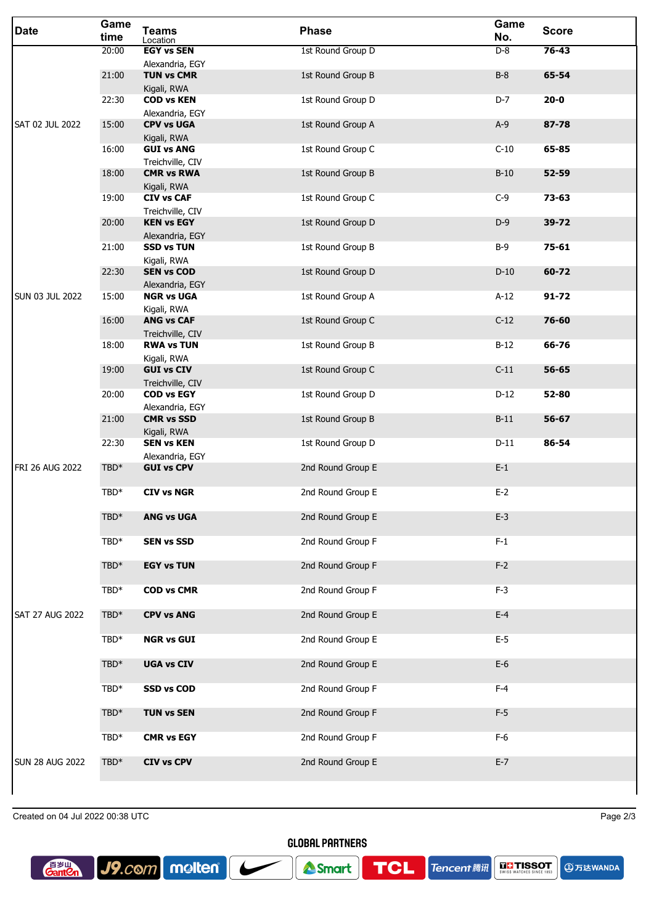| <b>Date</b>            | Game<br>time | <b>Teams</b><br>Location                            | <b>Phase</b>      | Game<br>No. | <b>Score</b> |
|------------------------|--------------|-----------------------------------------------------|-------------------|-------------|--------------|
| SAT 02 JUL 2022        | 20:00        | <b>EGY vs SEN</b>                                   | 1st Round Group D | $D-8$       | $76 - 43$    |
|                        | 21:00        | Alexandria, EGY<br><b>TUN vs CMR</b><br>Kigali, RWA | 1st Round Group B | $B-8$       | 65-54        |
|                        | 22:30        | <b>COD vs KEN</b><br>Alexandria, EGY                | 1st Round Group D | $D-7$       | $20 - 0$     |
|                        | 15:00        | <b>CPV vs UGA</b><br>Kigali, RWA                    | 1st Round Group A | $A-9$       | 87-78        |
|                        | 16:00        | <b>GUI vs ANG</b><br>Treichville, CIV               | 1st Round Group C | $C-10$      | 65-85        |
|                        | 18:00        | <b>CMR vs RWA</b><br>Kigali, RWA                    | 1st Round Group B | $B-10$      | $52 - 59$    |
|                        | 19:00        | <b>CIV vs CAF</b><br>Treichville, CIV               | 1st Round Group C | $C-9$       | 73-63        |
|                        | 20:00        | <b>KEN vs EGY</b><br>Alexandria, EGY                | 1st Round Group D | $D-9$       | 39-72        |
|                        | 21:00        | <b>SSD vs TUN</b><br>Kigali, RWA                    | 1st Round Group B | $B-9$       | 75-61        |
|                        | 22:30        | <b>SEN vs COD</b><br>Alexandria, EGY                | 1st Round Group D | $D-10$      | 60-72        |
| <b>SUN 03 JUL 2022</b> | 15:00        | <b>NGR vs UGA</b><br>Kigali, RWA                    | 1st Round Group A | $A-12$      | $91 - 72$    |
|                        | 16:00        | <b>ANG vs CAF</b><br>Treichville, CIV               | 1st Round Group C | $C-12$      | 76-60        |
|                        | 18:00        | <b>RWA vs TUN</b><br>Kigali, RWA                    | 1st Round Group B | $B-12$      | 66-76        |
|                        | 19:00        | <b>GUI vs CIV</b><br>Treichville, CIV               | 1st Round Group C | $C-11$      | 56-65        |
|                        | 20:00        | <b>COD vs EGY</b><br>Alexandria, EGY                | 1st Round Group D | $D-12$      | 52-80        |
|                        | 21:00        | <b>CMR vs SSD</b><br>Kigali, RWA                    | 1st Round Group B | $B-11$      | 56-67        |
|                        | 22:30        | <b>SEN vs KEN</b><br>Alexandria, EGY                | 1st Round Group D | $D-11$      | 86-54        |
| FRI 26 AUG 2022        | TBD*         | <b>GUI vs CPV</b>                                   | 2nd Round Group E | $E-1$       |              |
|                        | TBD*         | <b>CIV vs NGR</b>                                   | 2nd Round Group E | $E-2$       |              |
|                        | $TBD*$       | <b>ANG vs UGA</b>                                   | 2nd Round Group E | $E-3$       |              |
|                        | $TBD*$       | <b>SEN vs SSD</b>                                   | 2nd Round Group F | $F-1$       |              |
|                        | TBD*         | <b>EGY vs TUN</b>                                   | 2nd Round Group F | $F-2$       |              |
|                        | TBD*         | <b>COD vs CMR</b>                                   | 2nd Round Group F | $F-3$       |              |
| <b>SAT 27 AUG 2022</b> | $TBD*$       | <b>CPV vs ANG</b>                                   | 2nd Round Group E | $E-4$       |              |
|                        | $TBD*$       | <b>NGR vs GUI</b>                                   | 2nd Round Group E | $E-5$       |              |
|                        | $TBD*$       | <b>UGA vs CIV</b>                                   | 2nd Round Group E | $E-6$       |              |
|                        | TBD*         | <b>SSD vs COD</b>                                   | 2nd Round Group F | $F-4$       |              |
|                        | TBD*         | <b>TUN vs SEN</b>                                   | 2nd Round Group F | $F-5$       |              |
|                        | TBD*         | <b>CMR vs EGY</b>                                   | 2nd Round Group F | $F-6$       |              |
| <b>SUN 28 AUG 2022</b> | $TBD*$       | <b>CIV vs CPV</b>                                   | 2nd Round Group E | $E-7$       |              |
|                        |              |                                                     |                   |             |              |

Created on 04 Jul 2022 00:38 UTC Page 2/3

**A**万达WANDA



**GLOBAL PARTNERS** 

**TCL** 

**Tencent ##**  $\left|\right. \frac{1}{\text{SUSY}}\right|$  **TISSOT**